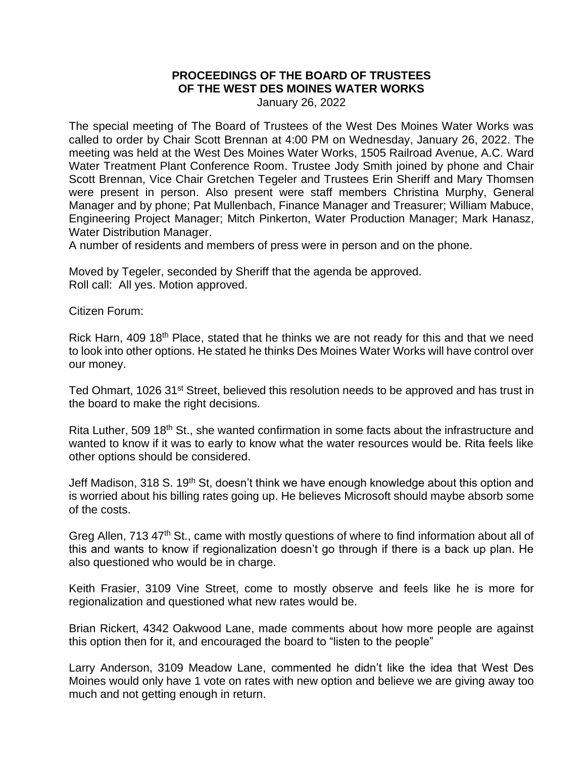## **PROCEEDINGS OF THE BOARD OF TRUSTEES OF THE WEST DES MOINES WATER WORKS**

January 26, 2022

The special meeting of The Board of Trustees of the West Des Moines Water Works was called to order by Chair Scott Brennan at 4:00 PM on Wednesday, January 26, 2022. The meeting was held at the West Des Moines Water Works, 1505 Railroad Avenue, A.C. Ward Water Treatment Plant Conference Room. Trustee Jody Smith joined by phone and Chair Scott Brennan, Vice Chair Gretchen Tegeler and Trustees Erin Sheriff and Mary Thomsen were present in person. Also present were staff members Christina Murphy, General Manager and by phone; Pat Mullenbach, Finance Manager and Treasurer; William Mabuce, Engineering Project Manager; Mitch Pinkerton, Water Production Manager; Mark Hanasz, Water Distribution Manager.

A number of residents and members of press were in person and on the phone.

Moved by Tegeler, seconded by Sheriff that the agenda be approved. Roll call: All yes. Motion approved.

Citizen Forum:

Rick Harn, 409 18<sup>th</sup> Place, stated that he thinks we are not ready for this and that we need to look into other options. He stated he thinks Des Moines Water Works will have control over our money.

Ted Ohmart, 1026 31<sup>st</sup> Street, believed this resolution needs to be approved and has trust in the board to make the right decisions.

Rita Luther, 509 18<sup>th</sup> St., she wanted confirmation in some facts about the infrastructure and wanted to know if it was to early to know what the water resources would be. Rita feels like other options should be considered.

Jeff Madison, 318 S. 19<sup>th</sup> St, doesn't think we have enough knowledge about this option and is worried about his billing rates going up. He believes Microsoft should maybe absorb some of the costs.

Greg Allen, 713 47<sup>th</sup> St., came with mostly questions of where to find information about all of this and wants to know if regionalization doesn't go through if there is a back up plan. He also questioned who would be in charge.

Keith Frasier, 3109 Vine Street, come to mostly observe and feels like he is more for regionalization and questioned what new rates would be.

Brian Rickert, 4342 Oakwood Lane, made comments about how more people are against this option then for it, and encouraged the board to "listen to the people"

Larry Anderson, 3109 Meadow Lane, commented he didn't like the idea that West Des Moines would only have 1 vote on rates with new option and believe we are giving away too much and not getting enough in return.